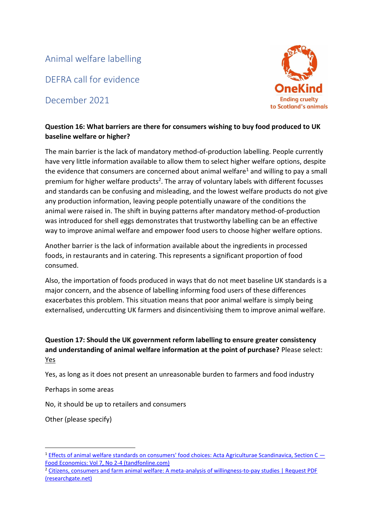Animal welfare labelling

DEFRA call for evidence

December 2021



## **Question 16: What barriers are there for consumers wishing to buy food produced to UK baseline welfare or higher?**

The main barrier is the lack of mandatory method-of-production labelling. People currently have very little information available to allow them to select higher welfare options, despite the evidence that consumers are concerned about animal welfare<sup>1</sup> and willing to pay a small premium for higher welfare products<sup>2</sup>. The array of voluntary labels with different focusses and standards can be confusing and misleading, and the lowest welfare products do not give any production information, leaving people potentially unaware of the conditions the animal were raised in. The shift in buying patterns after mandatory method-of-production was introduced for shell eggs demonstrates that trustworthy labelling can be an effective way to improve animal welfare and empower food users to choose higher welfare options.

Another barrier is the lack of information available about the ingredients in processed foods, in restaurants and in catering. This represents a significant proportion of food consumed.

Also, the importation of foods produced in ways that do not meet baseline UK standards is a major concern, and the absence of labelling informing food users of these differences exacerbates this problem. This situation means that poor animal welfare is simply being externalised, undercutting UK farmers and disincentivising them to improve animal welfare.

## **Question 17: Should the UK government reform labelling to ensure greater consistency and understanding of animal welfare information at the point of purchase?** Please select: Yes

Yes, as long as it does not present an unreasonable burden to farmers and food industry

Perhaps in some areas

No, it should be up to retailers and consumers

Other (please specify)

<sup>&</sup>lt;sup>1</sup> [Effects of animal welfare standards on consumers' food choices: Acta Agriculturae Scandinavica, Section C](https://www.tandfonline.com/doi/abs/10.1080/16507541.2010.531949)  $-$ [Food Economics: Vol 7, No 2-4 \(tandfonline.com\)](https://www.tandfonline.com/doi/abs/10.1080/16507541.2010.531949)

<sup>2</sup> [Citizens, consumers and farm animal welfare: A meta-analysis of willingness-to-pay studies | Request PDF](https://www.researchgate.net/publication/313696178_Citizens_consumers_and_farm_animal_welfare_A_meta-analysis_of_willingness-to-pay_studies)  [\(researchgate.net\)](https://www.researchgate.net/publication/313696178_Citizens_consumers_and_farm_animal_welfare_A_meta-analysis_of_willingness-to-pay_studies)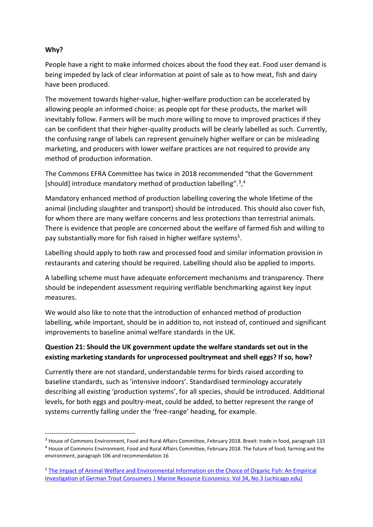### **Why?**

People have a right to make informed choices about the food they eat. Food user demand is being impeded by lack of clear information at point of sale as to how meat, fish and dairy have been produced.

The movement towards higher-value, higher-welfare production can be accelerated by allowing people an informed choice: as people opt for these products, the market will inevitably follow. Farmers will be much more willing to move to improved practices if they can be confident that their higher-quality products will be clearly labelled as such. Currently, the confusing range of labels can represent genuinely higher welfare or can be misleading marketing, and producers with lower welfare practices are not required to provide any method of production information.

The Commons EFRA Committee has twice in 2018 recommended "that the Government [should] introduce mandatory method of production labelling".<sup>3</sup>,<sup>4</sup>

Mandatory enhanced method of production labelling covering the whole lifetime of the animal (including slaughter and transport) should be introduced. This should also cover fish, for whom there are many welfare concerns and less protections than terrestrial animals. There is evidence that people are concerned about the welfare of farmed fish and willing to pay substantially more for fish raised in higher welfare systems<sup>5</sup>.

Labelling should apply to both raw and processed food and similar information provision in restaurants and catering should be required. Labelling should also be applied to imports.

A labelling scheme must have adequate enforcement mechanisms and transparency. There should be independent assessment requiring verifiable benchmarking against key input measures.

We would also like to note that the introduction of enhanced method of production labelling, while important, should be in addition to, not instead of, continued and significant improvements to baseline animal welfare standards in the UK.

## **Question 21: Should the UK government update the welfare standards set out in the existing marketing standards for unprocessed poultrymeat and shell eggs? If so, how?**

Currently there are not standard, understandable terms for birds raised according to baseline standards, such as 'intensive indoors'. Standardised terminology accurately describing all existing 'production systems', for all species, should be introduced. Additional levels, for both eggs and poultry-meat, could be added, to better represent the range of systems currently falling under the 'free-range' heading, for example.

<sup>&</sup>lt;sup>3</sup> House of Commons Environment, Food and Rural Affairs Committee, February 2018. Brexit: trade in food, paragraph 133 <sup>4</sup> House of Commons Environment, Food and Rural Affairs Committee, February 2018. The future of food, farming and the environment, paragraph 106 and recommendation 16

<sup>5</sup> The Impact [of Animal Welfare and Environmental Information on the Choice of Organic Fish: An Empirical](https://www.journals.uchicago.edu/doi/10.1086/705235#_i12)  [Investigation of German Trout Consumers | Marine Resource Economics: Vol 34, No 3 \(uchicago.edu\)](https://www.journals.uchicago.edu/doi/10.1086/705235#_i12)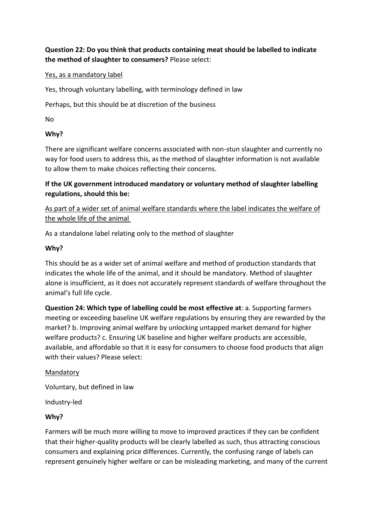**Question 22: Do you think that products containing meat should be labelled to indicate the method of slaughter to consumers?** Please select:

### Yes, as a mandatory label

Yes, through voluntary labelling, with terminology defined in law

Perhaps, but this should be at discretion of the business

No

### **Why?**

There are significant welfare concerns associated with non-stun slaughter and currently no way for food users to address this, as the method of slaughter information is not available to allow them to make choices reflecting their concerns.

**If the UK government introduced mandatory or voluntary method of slaughter labelling regulations, should this be:**

As part of a wider set of animal welfare standards where the label indicates the welfare of the whole life of the animal

As a standalone label relating only to the method of slaughter

#### **Why?**

This should be as a wider set of animal welfare and method of production standards that indicates the whole life of the animal, and it should be mandatory. Method of slaughter alone is insufficient, as it does not accurately represent standards of welfare throughout the animal's full life cycle.

**Question 24: Which type of labelling could be most effective at**: a. Supporting farmers meeting or exceeding baseline UK welfare regulations by ensuring they are rewarded by the market? b. Improving animal welfare by unlocking untapped market demand for higher welfare products? c. Ensuring UK baseline and higher welfare products are accessible, available, and affordable so that it is easy for consumers to choose food products that align with their values? Please select:

#### Mandatory

Voluntary, but defined in law

Industry-led

### **Why?**

Farmers will be much more willing to move to improved practices if they can be confident that their higher-quality products will be clearly labelled as such, thus attracting conscious consumers and explaining price differences. Currently, the confusing range of labels can represent genuinely higher welfare or can be misleading marketing, and many of the current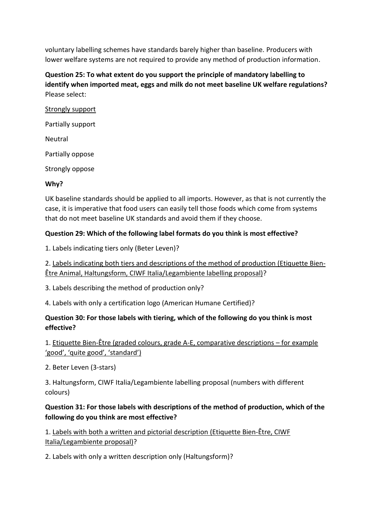voluntary labelling schemes have standards barely higher than baseline. Producers with lower welfare systems are not required to provide any method of production information.

**Question 25: To what extent do you support the principle of mandatory labelling to identify when imported meat, eggs and milk do not meet baseline UK welfare regulations?** Please select:

Strongly support Partially support Neutral Partially oppose Strongly oppose **Why?**

UK baseline standards should be applied to all imports. However, as that is not currently the case, it is imperative that food users can easily tell those foods which come from systems that do not meet baseline UK standards and avoid them if they choose.

### **Question 29: Which of the following label formats do you think is most effective?**

1. Labels indicating tiers only (Beter Leven)?

2. Labels indicating both tiers and descriptions of the method of production (Etiquette Bien-Être Animal, Haltungsform, CIWF Italia/Legambiente labelling proposal)?

3. Labels describing the method of production only?

4. Labels with only a certification logo (American Humane Certified)?

## **Question 30: For those labels with tiering, which of the following do you think is most effective?**

1. Etiquette Bien-Être (graded colours, grade A-E, comparative descriptions – for example 'good', 'quite good', 'standard')

2. Beter Leven (3-stars)

3. Haltungsform, CIWF Italia/Legambiente labelling proposal (numbers with different colours)

### **Question 31: For those labels with descriptions of the method of production, which of the following do you think are most effective?**

1. Labels with both a written and pictorial description (Etiquette Bien-Être, CIWF Italia/Legambiente proposal)?

2. Labels with only a written description only (Haltungsform)?